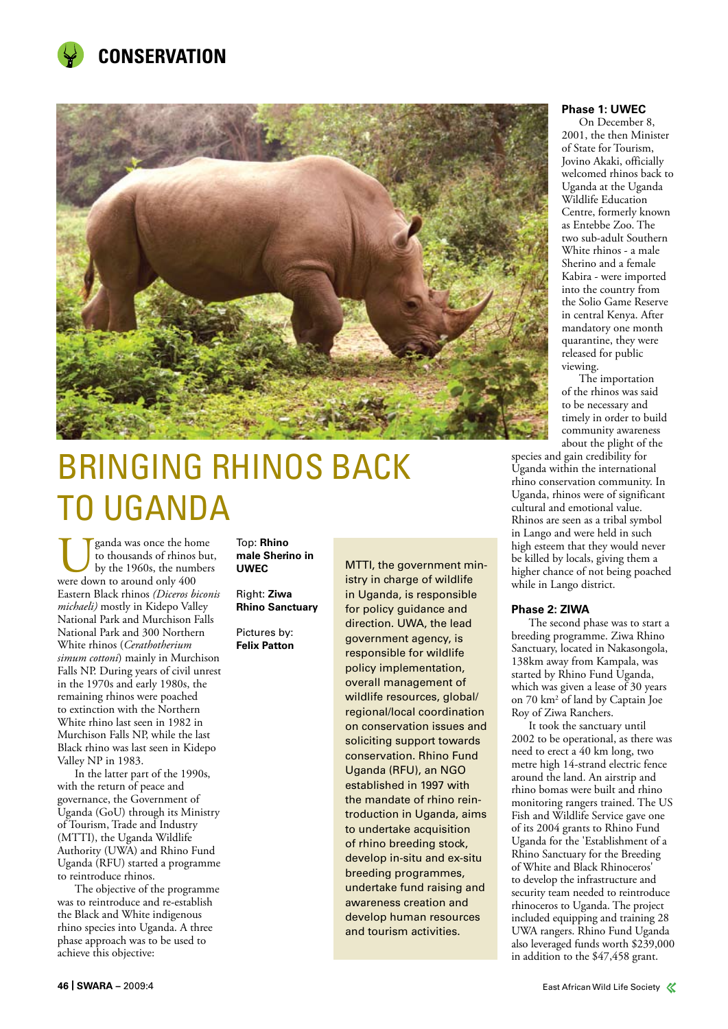



# BRINGING RHINOS BACK TO UGANDA

Uganda was once the home<br>to thousands of rhinos but<br>were down to around only 400 to thousands of rhinos but, by the 1960s, the numbers Eastern Black rhinos *(Diceros biconis michaeli)* mostly in Kidepo Valley National Park and Murchison Falls National Park and 300 Northern White rhinos (*Cerathotherium simum cottoni*) mainly in Murchison Falls NP. During years of civil unrest in the 1970s and early 1980s, the remaining rhinos were poached to extinction with the Northern White rhino last seen in 1982 in Murchison Falls NP, while the last Black rhino was last seen in Kidepo Valley NP in 1983.

In the latter part of the 1990s, with the return of peace and governance, the Government of Uganda (GoU) through its Ministry of Tourism, Trade and Industry (MTTI), the Uganda Wildlife Authority (UWA) and Rhino Fund Uganda (RFU) started a programme to reintroduce rhinos.

The objective of the programme was to reintroduce and re-establish the Black and White indigenous rhino species into Uganda. A three phase approach was to be used to achieve this objective:

Top: **Rhino male Sherino in UWEC**

Right: **Ziwa Rhino Sanctuary**

Pictures by: **Felix Patton** in Uganda, is responsible for policy guidance and direction. UWA, the lead government agency, is responsible for wildlife policy implementation, overall management of wildlife resources, global/ regional/local coordination on conservation issues and soliciting support towards conservation. Rhino Fund Uganda (RFU), an NGO established in 1997 with the mandate of rhino reintroduction in Uganda, aims to undertake acquisition of rhino breeding stock, develop in-situ and ex-situ breeding programmes, undertake fund raising and awareness creation and develop human resources and tourism activities.

MTTI, the government ministry in charge of wildlife

#### **Phase 1: UWEC**

On December 8, 2001, the then Minister of State for Tourism, Jovino Akaki, officially welcomed rhinos back to Uganda at the Uganda Wildlife Education Centre, formerly known as Entebbe Zoo. The two sub-adult Southern White rhinos - a male Sherino and a female Kabira - were imported into the country from the Solio Game Reserve in central Kenya. After mandatory one month quarantine, they were released for public viewing.

The importation of the rhinos was said to be necessary and timely in order to build community awareness about the plight of the

species and gain credibility for Uganda within the international rhino conservation community. In Uganda, rhinos were of significant cultural and emotional value. Rhinos are seen as a tribal symbol in Lango and were held in such high esteem that they would never be killed by locals, giving them a higher chance of not being poached while in Lango district.

#### **Phase 2: ZIWA**

The second phase was to start a breeding programme. Ziwa Rhino Sanctuary, located in Nakasongola, 138km away from Kampala, was started by Rhino Fund Uganda, which was given a lease of 30 years on 70 km2 of land by Captain Joe Roy of Ziwa Ranchers.

It took the sanctuary until 2002 to be operational, as there was need to erect a 40 km long, two metre high 14-strand electric fence around the land. An airstrip and rhino bomas were built and rhino monitoring rangers trained. The US Fish and Wildlife Service gave one of its 2004 grants to Rhino Fund Uganda for the 'Establishment of a Rhino Sanctuary for the Breeding of White and Black Rhinoceros' to develop the infrastructure and security team needed to reintroduce rhinoceros to Uganda. The project included equipping and training 28 UWA rangers. Rhino Fund Uganda also leveraged funds worth \$239,000 in addition to the \$47,458 grant.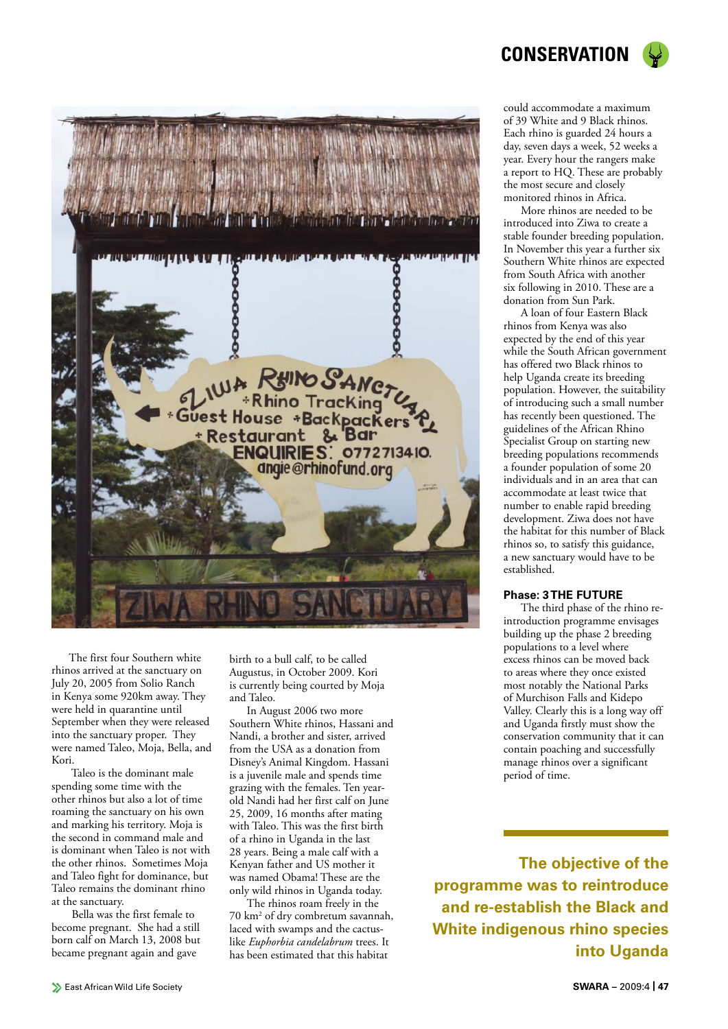

The first four Southern white rhinos arrived at the sanctuary on July 20, 2005 from Solio Ranch in Kenya some 920km away. They were held in quarantine until September when they were released into the sanctuary proper. They were named Taleo, Moja, Bella, and Kori.

 Taleo is the dominant male spending some time with the other rhinos but also a lot of time roaming the sanctuary on his own and marking his territory. Moja is the second in command male and is dominant when Taleo is not with the other rhinos. Sometimes Moja and Taleo fight for dominance, but Taleo remains the dominant rhino at the sanctuary.

 Bella was the first female to become pregnant. She had a still born calf on March 13, 2008 but became pregnant again and gave

birth to a bull calf, to be called Augustus, in October 2009. Kori is currently being courted by Moja and Taleo.

In August 2006 two more Southern White rhinos, Hassani and Nandi, a brother and sister, arrived from the USA as a donation from Disney's Animal Kingdom. Hassani is a juvenile male and spends time grazing with the females. Ten yearold Nandi had her first calf on June 25, 2009, 16 months after mating with Taleo. This was the first birth of a rhino in Uganda in the last 28 years. Being a male calf with a Kenyan father and US mother it was named Obama! These are the only wild rhinos in Uganda today.

The rhinos roam freely in the 70 km2 of dry combretum savannah, laced with swamps and the cactuslike *Euphorbia candelabrum* trees. It has been estimated that this habitat

could accommodate a maximum of 39 White and 9 Black rhinos. Each rhino is guarded 24 hours a day, seven days a week, 52 weeks a year. Every hour the rangers make a report to HQ. These are probably the most secure and closely monitored rhinos in Africa.

More rhinos are needed to be introduced into Ziwa to create a stable founder breeding population. In November this year a further six Southern White rhinos are expected from South Africa with another six following in 2010. These are a donation from Sun Park.

A loan of four Eastern Black rhinos from Kenya was also expected by the end of this year while the South African government has offered two Black rhinos to help Uganda create its breeding population. However, the suitability of introducing such a small number has recently been questioned. The guidelines of the African Rhino Specialist Group on starting new breeding populations recommends a founder population of some 20 individuals and in an area that can accommodate at least twice that number to enable rapid breeding development. Ziwa does not have the habitat for this number of Black rhinos so, to satisfy this guidance, a new sanctuary would have to be established.

#### **Phase: 3 THE FUTURE**

The third phase of the rhino reintroduction programme envisages building up the phase 2 breeding populations to a level where excess rhinos can be moved back to areas where they once existed most notably the National Parks of Murchison Falls and Kidepo Valley. Clearly this is a long way off and Uganda firstly must show the conservation community that it can contain poaching and successfully manage rhinos over a significant period of time.

**The objective of the programme was to reintroduce and re-establish the Black and White indigenous rhino species into Uganda**

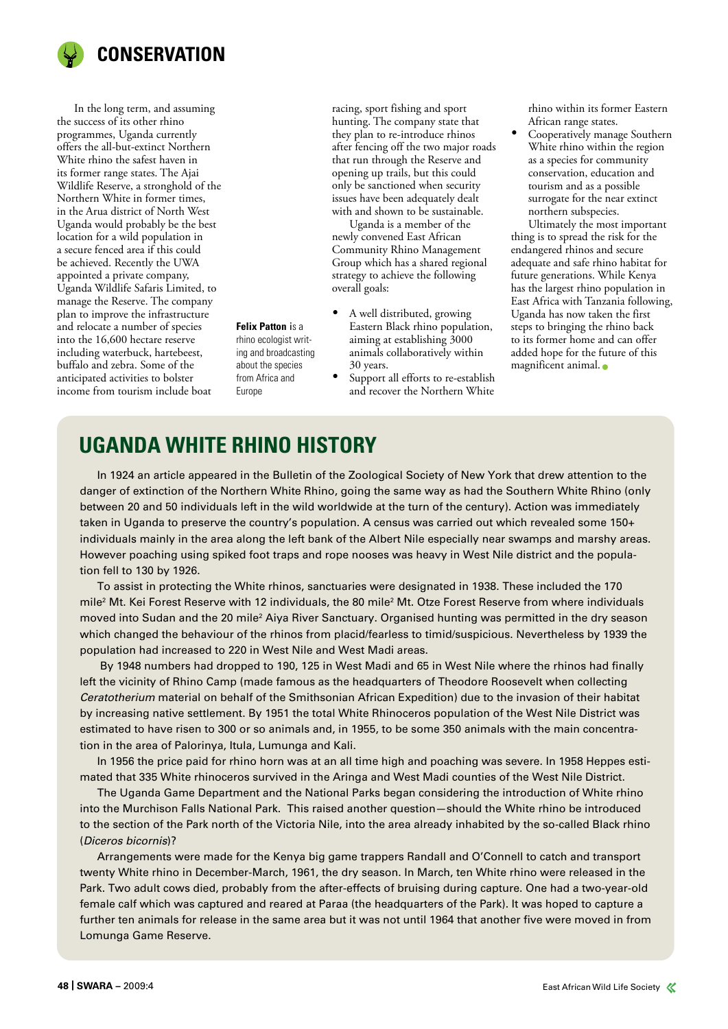

In the long term, and assuming the success of its other rhino programmes, Uganda currently offers the all-but-extinct Northern White rhino the safest haven in its former range states. The Ajai Wildlife Reserve, a stronghold of the Northern White in former times, in the Arua district of North West Uganda would probably be the best location for a wild population in a secure fenced area if this could be achieved. Recently the UWA appointed a private company, Uganda Wildlife Safaris Limited, to manage the Reserve. The company plan to improve the infrastructure and relocate a number of species into the 16,600 hectare reserve including waterbuck, hartebeest, buffalo and zebra. Some of the anticipated activities to bolster income from tourism include boat

racing, sport fishing and sport hunting. The company state that they plan to re-introduce rhinos after fencing off the two major roads that run through the Reserve and opening up trails, but this could only be sanctioned when security issues have been adequately dealt with and shown to be sustainable.

Uganda is a member of the newly convened East African Community Rhino Management Group which has a shared regional strategy to achieve the following overall goals:

- • A well distributed, growing Eastern Black rhino population, aiming at establishing 3000 animals collaboratively within 30 years.
- Support all efforts to re-establish and recover the Northern White

rhino within its former Eastern African range states.

Cooperatively manage Southern White rhino within the region as a species for community conservation, education and tourism and as a possible surrogate for the near extinct northern subspecies.

Ultimately the most important thing is to spread the risk for the endangered rhinos and secure adequate and safe rhino habitat for future generations. While Kenya has the largest rhino population in East Africa with Tanzania following, Uganda has now taken the first steps to bringing the rhino back to its former home and can offer added hope for the future of this magnificent animal.

## **UGANDA WHITE RHINO HISTORY**

**Felix Patton** is a rhino ecologist writing and broadcasting about the species from Africa and Europe

In 1924 an article appeared in the Bulletin of the Zoological Society of New York that drew attention to the danger of extinction of the Northern White Rhino, going the same way as had the Southern White Rhino (only between 20 and 50 individuals left in the wild worldwide at the turn of the century). Action was immediately taken in Uganda to preserve the country's population. A census was carried out which revealed some 150+ individuals mainly in the area along the left bank of the Albert Nile especially near swamps and marshy areas. However poaching using spiked foot traps and rope nooses was heavy in West Nile district and the population fell to 130 by 1926.

To assist in protecting the White rhinos, sanctuaries were designated in 1938. These included the 170 mile<sup>2</sup> Mt. Kei Forest Reserve with 12 individuals, the 80 mile<sup>2</sup> Mt. Otze Forest Reserve from where individuals moved into Sudan and the 20 mile<sup>2</sup> Aiya River Sanctuary. Organised hunting was permitted in the dry season which changed the behaviour of the rhinos from placid/fearless to timid/suspicious. Nevertheless by 1939 the population had increased to 220 in West Nile and West Madi areas.

 By 1948 numbers had dropped to 190, 125 in West Madi and 65 in West Nile where the rhinos had finally left the vicinity of Rhino Camp (made famous as the headquarters of Theodore Roosevelt when collecting *Ceratotherium* material on behalf of the Smithsonian African Expedition) due to the invasion of their habitat by increasing native settlement. By 1951 the total White Rhinoceros population of the West Nile District was estimated to have risen to 300 or so animals and, in 1955, to be some 350 animals with the main concentration in the area of Palorinya, Itula, Lumunga and Kali.

In 1956 the price paid for rhino horn was at an all time high and poaching was severe. In 1958 Heppes estimated that 335 White rhinoceros survived in the Aringa and West Madi counties of the West Nile District.

The Uganda Game Department and the National Parks began considering the introduction of White rhino into the Murchison Falls National Park. This raised another question—should the White rhino be introduced to the section of the Park north of the Victoria Nile, into the area already inhabited by the so-called Black rhino (*Diceros bicornis*)?

Arrangements were made for the Kenya big game trappers Randall and O'Connell to catch and transport twenty White rhino in December-March, 1961, the dry season. In March, ten White rhino were released in the Park. Two adult cows died, probably from the after-effects of bruising during capture. One had a two-year-old female calf which was captured and reared at Paraa (the headquarters of the Park). It was hoped to capture a further ten animals for release in the same area but it was not until 1964 that another five were moved in from Lomunga Game Reserve.